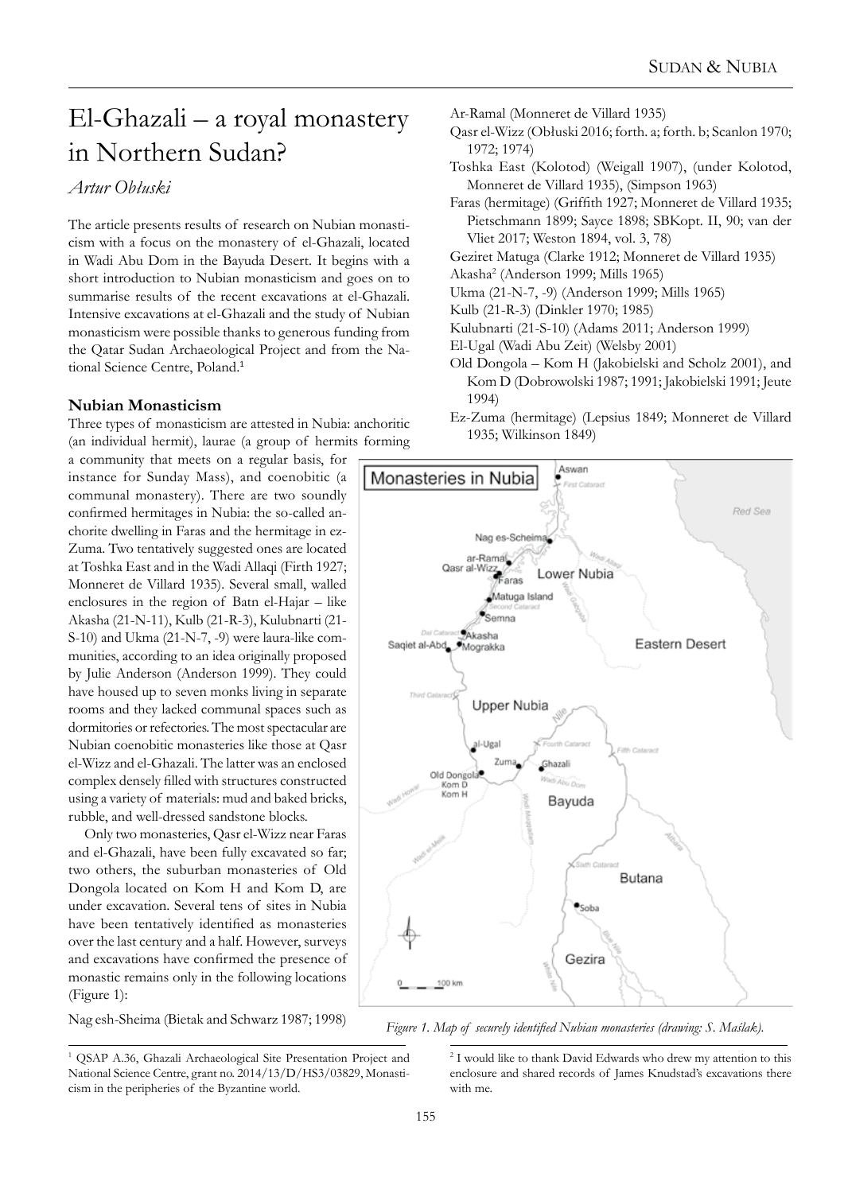# El-Ghazali – a royal monastery in Northern Sudan?

# *Artur Obłuski*

The article presents results of research on Nubian monasticism with a focus on the monastery of el-Ghazali, located in Wadi Abu Dom in the Bayuda Desert. It begins with a short introduction to Nubian monasticism and goes on to summarise results of the recent excavations at el-Ghazali. Intensive excavations at el-Ghazali and the study of Nubian monasticism were possible thanks to generous funding from the Qatar Sudan Archaeological Project and from the National Science Centre, Poland.<sup>1</sup>

# **Nubian Monasticism**

Three types of monasticism are attested in Nubia: anchoritic (an individual hermit), laurae (a group of hermits forming

a community that meets on a regular basis, for instance for Sunday Mass), and coenobitic (a communal monastery). There are two soundly confirmed hermitages in Nubia: the so-called anchorite dwelling in Faras and the hermitage in ez-Zuma. Two tentatively suggested ones are located at Toshka East and in the Wadi Allaqi (Firth 1927; Monneret de Villard 1935). Several small, walled enclosures in the region of Batn el-Hajar – like Akasha (21-N-11), Kulb (21-R-3), Kulubnarti (21- S-10) and Ukma (21-N-7, -9) were laura-like communities, according to an idea originally proposed by Julie Anderson (Anderson 1999). They could have housed up to seven monks living in separate rooms and they lacked communal spaces such as dormitories or refectories. The most spectacular are Nubian coenobitic monasteries like those at Qasr el-Wizz and el-Ghazali. The latter was an enclosed complex densely filled with structures constructed using a variety of materials: mud and baked bricks, rubble, and well-dressed sandstone blocks.

Only two monasteries, Qasr el-Wizz near Faras and el-Ghazali, have been fully excavated so far; two others, the suburban monasteries of Old Dongola located on Kom H and Kom D, are under excavation. Several tens of sites in Nubia have been tentatively identified as monasteries over the last century and a half. However, surveys and excavations have confirmed the presence of monastic remains only in the following locations (Figure 1):

Nag esh-Sheima (Bietak and Schwarz 1987; 1998)

- Ar-Ramal (Monneret de Villard 1935)
- Qasr el-Wizz (Obłuski 2016; forth. a; forth. b; Scanlon 1970; 1972; 1974)
- Toshka East (Kolotod) (Weigall 1907), (under Kolotod, Monneret de Villard 1935), (Simpson 1963)
- Faras (hermitage) (Griffith 1927; Monneret de Villard 1935; Pietschmann 1899; Sayce 1898; SBKopt. II, 90; van der Vliet 2017; Weston 1894, vol. 3, 78)

Geziret Matuga (Clarke 1912; Monneret de Villard 1935)

Akasha<sup>2</sup> (Anderson 1999; Mills 1965)

- Ukma (21-N-7, -9) (Anderson 1999; Mills 1965)
- Kulb (21-R-3) (Dinkler 1970; 1985)
- Kulubnarti (21-S-10) (Adams 2011; Anderson 1999)
- El-Ugal (Wadi Abu Zeit) (Welsby 2001)
- Old Dongola Kom H (Jakobielski and Scholz 2001), and Kom D (Dobrowolski 1987; 1991; Jakobielski 1991; Jeute 1994)
- Ez-Zuma (hermitage) (Lepsius 1849; Monneret de Villard 1935; Wilkinson 1849)



*Figure 1. Map of securely identified Nubian monasteries (drawing: S. Maślak).*

<sup>&</sup>lt;sup>1</sup> QSAP A.36, Ghazali Archaeological Site Presentation Project and National Science Centre, grant no. 2014/13/D/HS3/03829, Monasticism in the peripheries of the Byzantine world.

<sup>2</sup> I would like to thank David Edwards who drew my attention to this enclosure and shared records of James Knudstad's excavations there with me.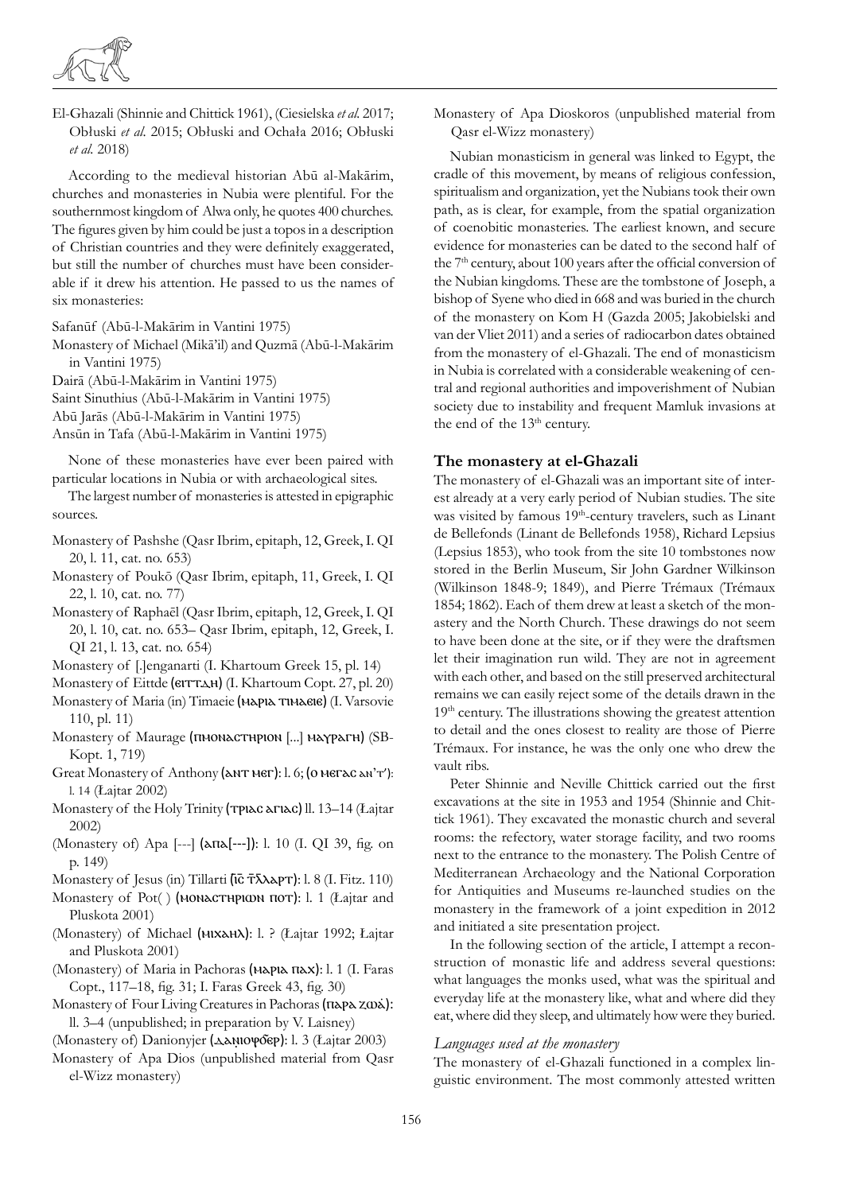

El-Ghazali (Shinnie and Chittick 1961), (Ciesielska *et al.* 2017; Obłuski *et al*. 2015; Obłuski and Ochała 2016; Obłuski *et al.* 2018)

According to the medieval historian Abū al-Makārim, churches and monasteries in Nubia were plentiful. For the southernmost kingdom of Alwa only, he quotes 400 churches. The figures given by him could be just a topos in a description of Christian countries and they were definitely exaggerated, but still the number of churches must have been considerable if it drew his attention. He passed to us the names of six monasteries:

Safanūf (Abū-l-Makārim in Vantini 1975)

Monastery of Michael (Mikā'il) and Quzmā (Abū-l-Makārim in Vantini 1975)

Dairā (Abū-l-Makārim in Vantini 1975)

Saint Sinuthius (Abū-l-Makārim in Vantini 1975)

Abū Jarās (Abū-l-Makārim in Vantini 1975)

Ansūn in Tafa (Abū-l-Makārim in Vantini 1975)

None of these monasteries have ever been paired with particular locations in Nubia or with archaeological sites.

The largest number of monasteries is attested in epigraphic sources.

- Monastery of Pashshe (Qasr Ibrim, epitaph, 12, Greek, I. QI 20, l. 11, cat. no. 653)
- Monastery of Poukō (Qasr Ibrim, epitaph, 11, Greek, I. QI 22, l. 10, cat. no. 77)
- Monastery of Raphaēl (Qasr Ibrim, epitaph, 12, Greek, I. QI 20, l. 10, cat. no. 653– Qasr Ibrim, epitaph, 12, Greek, I. QI 21, l. 13, cat. no. 654)
- Monastery of [.]enganarti (I. Khartoum Greek 15, pl. 14)
- Monastery of Eittde (ⲉⲓⲧⲧⲇⲏ) (I. Khartoum Copt. 27, pl. 20)
- Monastery of Maria (in) Timaeie (MAPIA ΤΙΜΑΘΙΘ) (I. Varsovie 110, pl. 11)
- Monastery of Maurage (ⲡⲙⲟⲛⲁⲥⲧⲏⲣⲓⲟⲛ [...] ⲙⲁⲩⲣⲁⲅⲏ) (SB-Kopt. 1, 719)
- Great Monastery of Anthony (ANT Mer): l. 6; (0 ΜΕΓΑΣ ΑΝ'Τ'): l. 14 (Łajtar 2002)
- Monastery of the Holy Trinity (τριας απιας) ll. 13-14 (Łajtar 2002)
- (Monastery of) Apa [---] (ⲁⲡⲁ[---]): l. 10 (I. QI 39, fig. on p. 149)
- Monastery of Jesus (in) Tillarti (ισ τλλερτ): l. 8 (I. Fitz. 110)
- Monastery of Pot() (MONACTHPIΦN ΠΟΤ): l. 1 (Łajtar and Pluskota 2001)
- (Monastery) of Michael (миханд): l. ? (Łajtar 1992; Łajtar and Pluskota 2001)
- (Monastery) of Maria in Pachoras (MAPIA πλx): l. 1 (I. Faras Copt., 117–18, fig. 31; I. Faras Greek 43, fig. 30)
- Monastery of Four Living Creatures in Pachoras (ⲡⲁⲣⲁ ⲍⲱⲁ̇): ll. 3–4 (unpublished; in preparation by V. Laisney)

(Monastery of) Danionyjer (<del>Δλ</del>ΝΙΟΨΟΈΡ): l. 3 (Łajtar 2003)

Monastery of Apa Dios (unpublished material from Qasr el-Wizz monastery)

Monastery of Apa Dioskoros (unpublished material from Qasr el-Wizz monastery)

Nubian monasticism in general was linked to Egypt, the cradle of this movement, by means of religious confession, spiritualism and organization, yet the Nubians took their own path, as is clear, for example, from the spatial organization of coenobitic monasteries. The earliest known, and secure evidence for monasteries can be dated to the second half of the 7<sup>th</sup> century, about 100 years after the official conversion of the Nubian kingdoms. These are the tombstone of Joseph, a bishop of Syene who died in 668 and was buried in the church of the monastery on Kom H (Gazda 2005; Jakobielski and van der Vliet 2011) and a series of radiocarbon dates obtained from the monastery of el-Ghazali. The end of monasticism in Nubia is correlated with a considerable weakening of central and regional authorities and impoverishment of Nubian society due to instability and frequent Mamluk invasions at the end of the 13<sup>th</sup> century.

# **The monastery at el-Ghazali**

The monastery of el-Ghazali was an important site of interest already at a very early period of Nubian studies. The site was visited by famous 19<sup>th</sup>-century travelers, such as Linant de Bellefonds (Linant de Bellefonds 1958), Richard Lepsius (Lepsius 1853), who took from the site 10 tombstones now stored in the Berlin Museum, Sir John Gardner Wilkinson (Wilkinson 1848-9; 1849), and Pierre Trémaux (Trémaux 1854; 1862). Each of them drew at least a sketch of the monastery and the North Church. These drawings do not seem to have been done at the site, or if they were the draftsmen let their imagination run wild. They are not in agreement with each other, and based on the still preserved architectural remains we can easily reject some of the details drawn in the 19<sup>th</sup> century. The illustrations showing the greatest attention to detail and the ones closest to reality are those of Pierre Trémaux. For instance, he was the only one who drew the vault ribs.

Peter Shinnie and Neville Chittick carried out the first excavations at the site in 1953 and 1954 (Shinnie and Chittick 1961). They excavated the monastic church and several rooms: the refectory, water storage facility, and two rooms next to the entrance to the monastery. The Polish Centre of Mediterranean Archaeology and the National Corporation for Antiquities and Museums re-launched studies on the monastery in the framework of a joint expedition in 2012 and initiated a site presentation project.

In the following section of the article, I attempt a reconstruction of monastic life and address several questions: what languages the monks used, what was the spiritual and everyday life at the monastery like, what and where did they eat, where did they sleep, and ultimately how were they buried.

# *Languages used at the monastery*

The monastery of el-Ghazali functioned in a complex linguistic environment. The most commonly attested written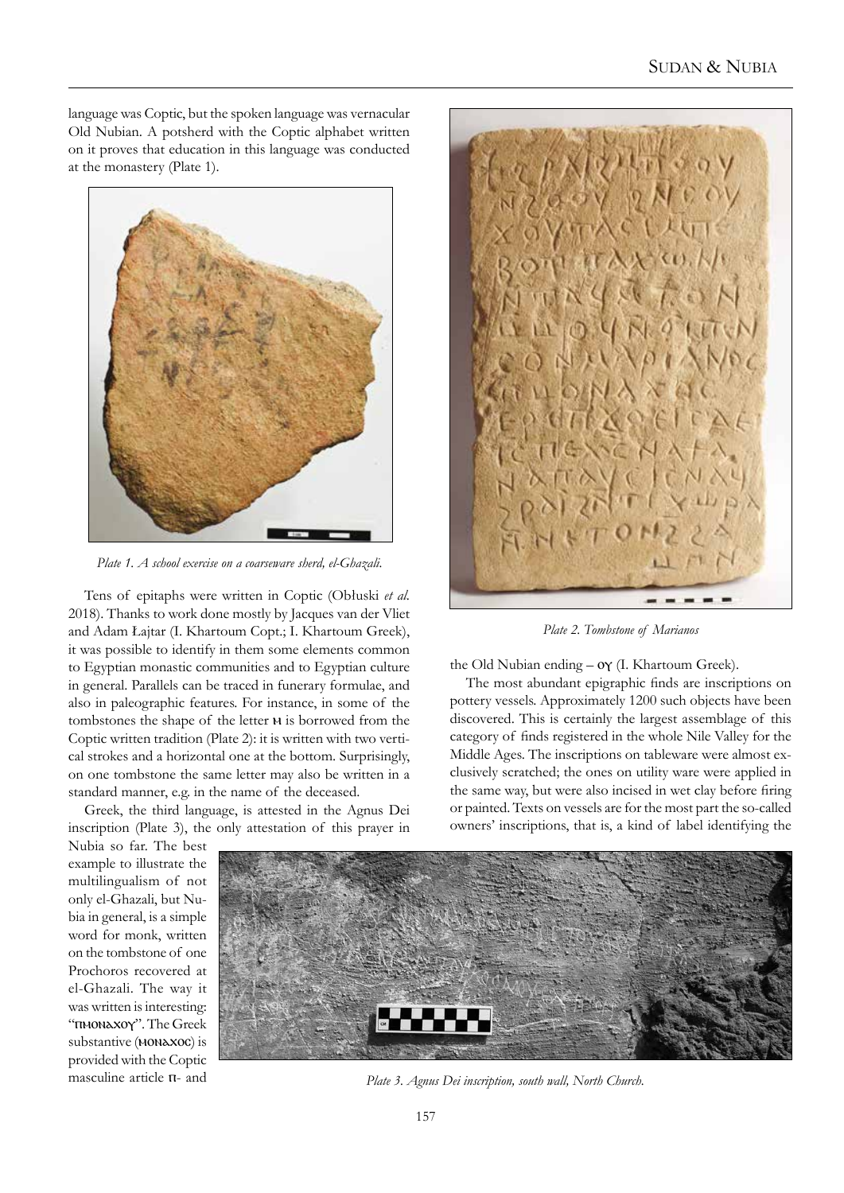language was Coptic, but the spoken language was vernacular Old Nubian. A potsherd with the Coptic alphabet written on it proves that education in this language was conducted at the monastery (Plate 1).



*Plate 1. A school exercise on a coarseware sherd, el-Ghazali.*

Tens of epitaphs were written in Coptic (Obłuski *et al.* 2018). Thanks to work done mostly by Jacques van der Vliet and Adam Łajtar (I. Khartoum Copt.; I. Khartoum Greek), it was possible to identify in them some elements common to Egyptian monastic communities and to Egyptian culture in general. Parallels can be traced in funerary formulae, and also in paleographic features. For instance, in some of the tombstones the shape of the letter  $w$  is borrowed from the Coptic written tradition (Plate 2): it is written with two vertical strokes and a horizontal one at the bottom. Surprisingly, on one tombstone the same letter may also be written in a standard manner, e.g. in the name of the deceased.

Greek, the third language, is attested in the Agnus Dei inscription (Plate 3), the only attestation of this prayer in



*Plate 2. Tombstone of Marianos*

the Old Nubian ending – o $\gamma$  (I. Khartoum Greek).

The most abundant epigraphic finds are inscriptions on pottery vessels. Approximately 1200 such objects have been discovered. This is certainly the largest assemblage of this category of finds registered in the whole Nile Valley for the Middle Ages. The inscriptions on tableware were almost exclusively scratched; the ones on utility ware were applied in the same way, but were also incised in wet clay before firing or painted. Texts on vessels are for the most part the so-called owners' inscriptions, that is, a kind of label identifying the

Nubia so far. The best example to illustrate the multilingualism of not only el-Ghazali, but Nubia in general, is a simple word for monk, written on the tombstone of one Prochoros recovered at el-Ghazali. The way it was written is interesting: "ⲡⲙⲟⲛⲁⲭⲟⲩ". The Greek substantive (MONAXOC) is provided with the Coptic masculine article  $\pi$ - and



*Plate 3. Agnus Dei inscription, south wall, North Church.*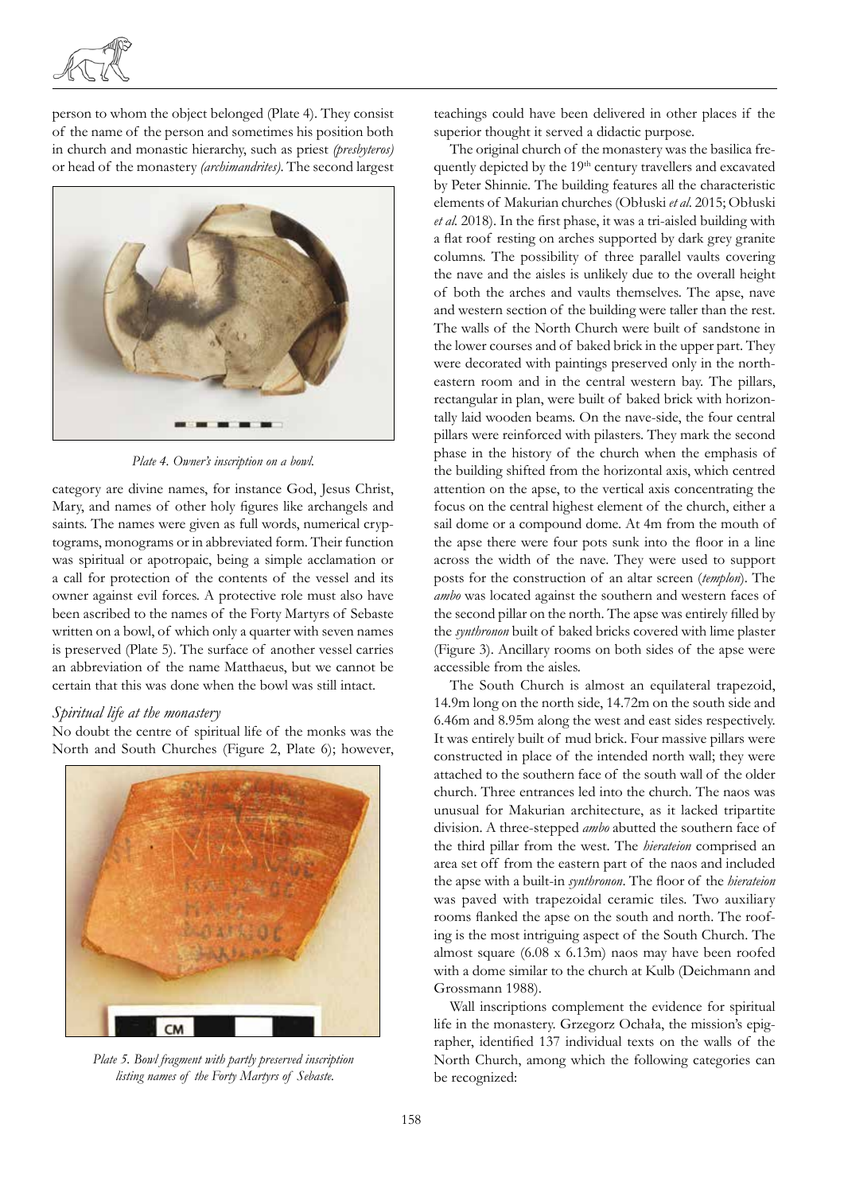

person to whom the object belonged (Plate 4). They consist of the name of the person and sometimes his position both in church and monastic hierarchy, such as priest *(presbyteros)* or head of the monastery *(archimandrites)*. The second largest



*Plate 4. Owner's inscription on a bowl.*

category are divine names, for instance God, Jesus Christ, Mary, and names of other holy figures like archangels and saints. The names were given as full words, numerical cryptograms, monograms or in abbreviated form. Their function was spiritual or apotropaic, being a simple acclamation or a call for protection of the contents of the vessel and its owner against evil forces. A protective role must also have been ascribed to the names of the Forty Martyrs of Sebaste written on a bowl, of which only a quarter with seven names is preserved (Plate 5). The surface of another vessel carries an abbreviation of the name Matthaeus, but we cannot be certain that this was done when the bowl was still intact.

#### *Spiritual life at the monastery*

No doubt the centre of spiritual life of the monks was the North and South Churches (Figure 2, Plate 6); however,



*Plate 5. Bowl fragment with partly preserved inscription listing names of the Forty Martyrs of Sebaste.*

teachings could have been delivered in other places if the superior thought it served a didactic purpose.

The original church of the monastery was the basilica frequently depicted by the 19<sup>th</sup> century travellers and excavated by Peter Shinnie. The building features all the characteristic elements of Makurian churches (Obłuski *et al*. 2015; Obłuski *et al.* 2018). In the first phase, it was a tri-aisled building with a flat roof resting on arches supported by dark grey granite columns. The possibility of three parallel vaults covering the nave and the aisles is unlikely due to the overall height of both the arches and vaults themselves. The apse, nave and western section of the building were taller than the rest. The walls of the North Church were built of sandstone in the lower courses and of baked brick in the upper part. They were decorated with paintings preserved only in the northeastern room and in the central western bay. The pillars, rectangular in plan, were built of baked brick with horizontally laid wooden beams. On the nave-side, the four central pillars were reinforced with pilasters. They mark the second phase in the history of the church when the emphasis of the building shifted from the horizontal axis, which centred attention on the apse, to the vertical axis concentrating the focus on the central highest element of the church, either a sail dome or a compound dome. At 4m from the mouth of the apse there were four pots sunk into the floor in a line across the width of the nave. They were used to support posts for the construction of an altar screen (*templon*). The *ambo* was located against the southern and western faces of the second pillar on the north. The apse was entirely filled by the *synthronon* built of baked bricks covered with lime plaster (Figure 3). Ancillary rooms on both sides of the apse were accessible from the aisles.

The South Church is almost an equilateral trapezoid, 14.9m long on the north side, 14.72m on the south side and 6.46m and 8.95m along the west and east sides respectively. It was entirely built of mud brick. Four massive pillars were constructed in place of the intended north wall; they were attached to the southern face of the south wall of the older church. Three entrances led into the church. The naos was unusual for Makurian architecture, as it lacked tripartite division. A three-stepped *ambo* abutted the southern face of the third pillar from the west. The *hierateion* comprised an area set off from the eastern part of the naos and included the apse with a built-in *synthronon*. The floor of the *hierateion* was paved with trapezoidal ceramic tiles. Two auxiliary rooms flanked the apse on the south and north. The roofing is the most intriguing aspect of the South Church. The almost square (6.08 x 6.13m) naos may have been roofed with a dome similar to the church at Kulb (Deichmann and Grossmann 1988).

Wall inscriptions complement the evidence for spiritual life in the monastery. Grzegorz Ochała, the mission's epigrapher, identified 137 individual texts on the walls of the North Church, among which the following categories can be recognized: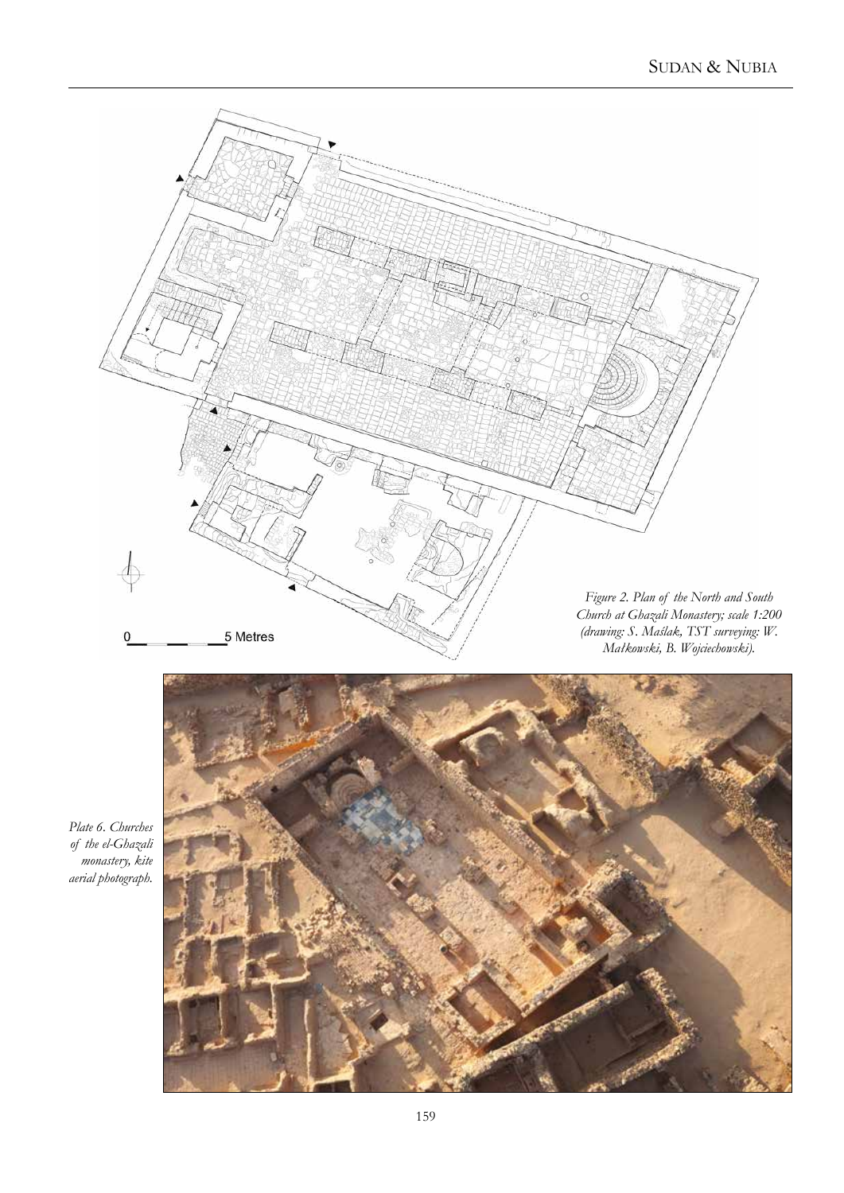



*Plate 6. Churches of the el-Ghazali monastery, kite aerial photograph.*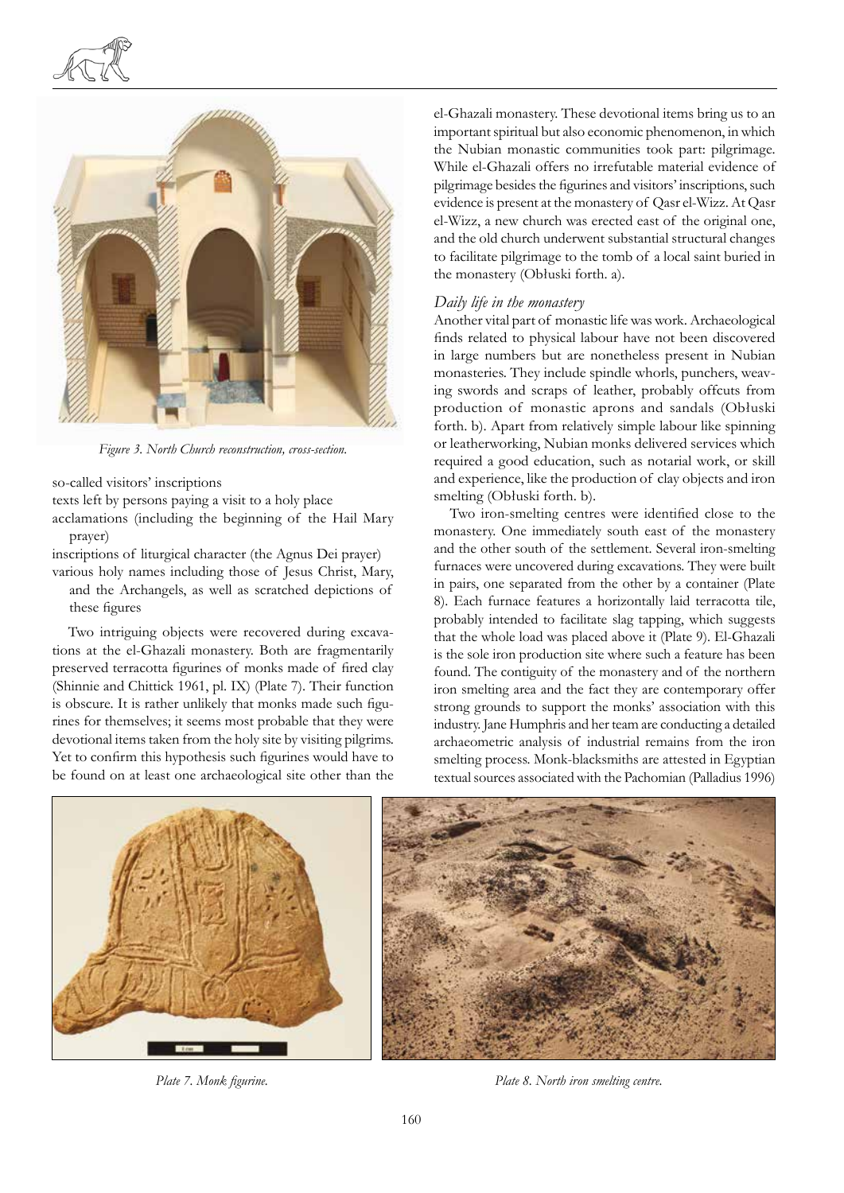



*Figure 3. North Church reconstruction, cross-section.*

so-called visitors' inscriptions

texts left by persons paying a visit to a holy place

acclamations (including the beginning of the Hail Mary prayer)

inscriptions of liturgical character (the Agnus Dei prayer)

various holy names including those of Jesus Christ, Mary, and the Archangels, as well as scratched depictions of these figures

Two intriguing objects were recovered during excavations at the el-Ghazali monastery. Both are fragmentarily preserved terracotta figurines of monks made of fired clay (Shinnie and Chittick 1961, pl. IX) (Plate 7). Their function is obscure. It is rather unlikely that monks made such figurines for themselves; it seems most probable that they were devotional items taken from the holy site by visiting pilgrims. Yet to confirm this hypothesis such figurines would have to be found on at least one archaeological site other than the el-Ghazali monastery. These devotional items bring us to an important spiritual but also economic phenomenon, in which the Nubian monastic communities took part: pilgrimage. While el-Ghazali offers no irrefutable material evidence of pilgrimage besides the figurines and visitors' inscriptions, such evidence is present at the monastery of Qasr el-Wizz. At Qasr el-Wizz, a new church was erected east of the original one, and the old church underwent substantial structural changes to facilitate pilgrimage to the tomb of a local saint buried in the monastery (Obłuski forth. a).

#### *Daily life in the monastery*

Another vital part of monastic life was work. Archaeological finds related to physical labour have not been discovered in large numbers but are nonetheless present in Nubian monasteries. They include spindle whorls, punchers, weaving swords and scraps of leather, probably offcuts from production of monastic aprons and sandals (Obłuski forth. b). Apart from relatively simple labour like spinning or leatherworking, Nubian monks delivered services which required a good education, such as notarial work, or skill and experience, like the production of clay objects and iron smelting (Obłuski forth. b).

Two iron-smelting centres were identified close to the monastery. One immediately south east of the monastery and the other south of the settlement. Several iron-smelting furnaces were uncovered during excavations. They were built in pairs, one separated from the other by a container (Plate 8). Each furnace features a horizontally laid terracotta tile, probably intended to facilitate slag tapping, which suggests that the whole load was placed above it (Plate 9). El-Ghazali is the sole iron production site where such a feature has been found. The contiguity of the monastery and of the northern iron smelting area and the fact they are contemporary offer strong grounds to support the monks' association with this industry. Jane Humphris and her team are conducting a detailed archaeometric analysis of industrial remains from the iron smelting process. Monk-blacksmiths are attested in Egyptian textual sources associated with the Pachomian (Palladius 1996)



*Plate 7. Monk figurine. Plate 8. North iron smelting centre.*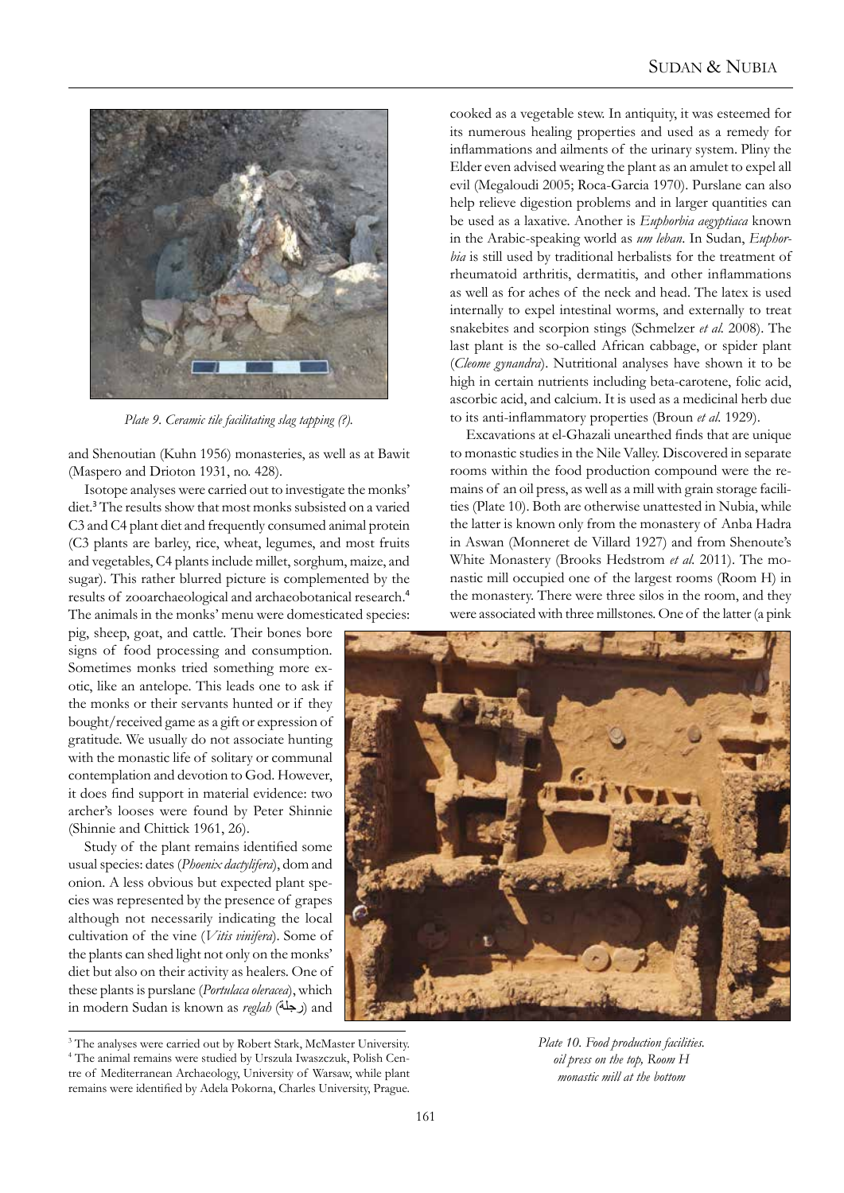

*Plate 9. Ceramic tile facilitating slag tapping (?).*

and Shenoutian (Kuhn 1956) monasteries, as well as at Bawit (Maspero and Drioton 1931, no. 428).

Isotope analyses were carried out to investigate the monks' diet.<sup>3</sup> The results show that most monks subsisted on a varied C3 and C4 plant diet and frequently consumed animal protein (C3 plants are barley, rice, wheat, legumes, and most fruits and vegetables, C4 plants include millet, sorghum, maize, and sugar). This rather blurred picture is complemented by the results of zooarchaeological and archaeobotanical research.<sup>4</sup> The animals in the monks' menu were domesticated species:

pig, sheep, goat, and cattle. Their bones bore signs of food processing and consumption. Sometimes monks tried something more exotic, like an antelope. This leads one to ask if the monks or their servants hunted or if they bought/received game as a gift or expression of gratitude. We usually do not associate hunting with the monastic life of solitary or communal contemplation and devotion to God. However, it does find support in material evidence: two archer's looses were found by Peter Shinnie (Shinnie and Chittick 1961, 26).

Study of the plant remains identified some usual species: dates (*Phoenix dactylifera*), dom and onion. A less obvious but expected plant species was represented by the presence of grapes although not necessarily indicating the local cultivation of the vine (*Vitis vinifera*). Some of the plants can shed light not only on the monks' diet but also on their activity as healers. One of these plants is purslane (*Portulaca oleracea*), which in modern Sudan is known as *reglah* (رجلة) and

<sup>3</sup> The analyses were carried out by Robert Stark, McMaster University. 4 The animal remains were studied by Urszula Iwaszczuk, Polish Centre of Mediterranean Archaeology, University of Warsaw, while plant remains were identified by Adela Pokorna, Charles University, Prague.

cooked as a vegetable stew. In antiquity, it was esteemed for its numerous healing properties and used as a remedy for inflammations and ailments of the urinary system. Pliny the Elder even advised wearing the plant as an amulet to expel all evil (Megaloudi 2005; Roca-Garcia 1970). Purslane can also help relieve digestion problems and in larger quantities can be used as a laxative. Another is *Euphorbia aegyptiaca* known in the Arabic-speaking world as *um leban*. In Sudan, *Euphorbia* is still used by traditional herbalists for the treatment of rheumatoid arthritis, dermatitis, and other inflammations as well as for aches of the neck and head. The latex is used internally to expel intestinal worms, and externally to treat snakebites and scorpion stings (Schmelzer *et al.* 2008). The last plant is the so-called African cabbage, or spider plant (*Cleome gynandra*). Nutritional analyses have shown it to be high in certain nutrients including beta-carotene, folic acid, ascorbic acid, and calcium. It is used as a medicinal herb due to its anti-inflammatory properties (Broun *et al.* 1929).

Excavations at el-Ghazali unearthed finds that are unique to monastic studies in the Nile Valley. Discovered in separate rooms within the food production compound were the remains of an oil press, as well as a mill with grain storage facilities (Plate 10). Both are otherwise unattested in Nubia, while the latter is known only from the monastery of Anba Hadra in Aswan (Monneret de Villard 1927) and from Shenoute's White Monastery (Brooks Hedstrom *et al.* 2011). The monastic mill occupied one of the largest rooms (Room H) in the monastery. There were three silos in the room, and they were associated with three millstones. One of the latter (a pink



*Plate 10. Food production facilities. oil press on the top, Room H monastic mill at the bottom*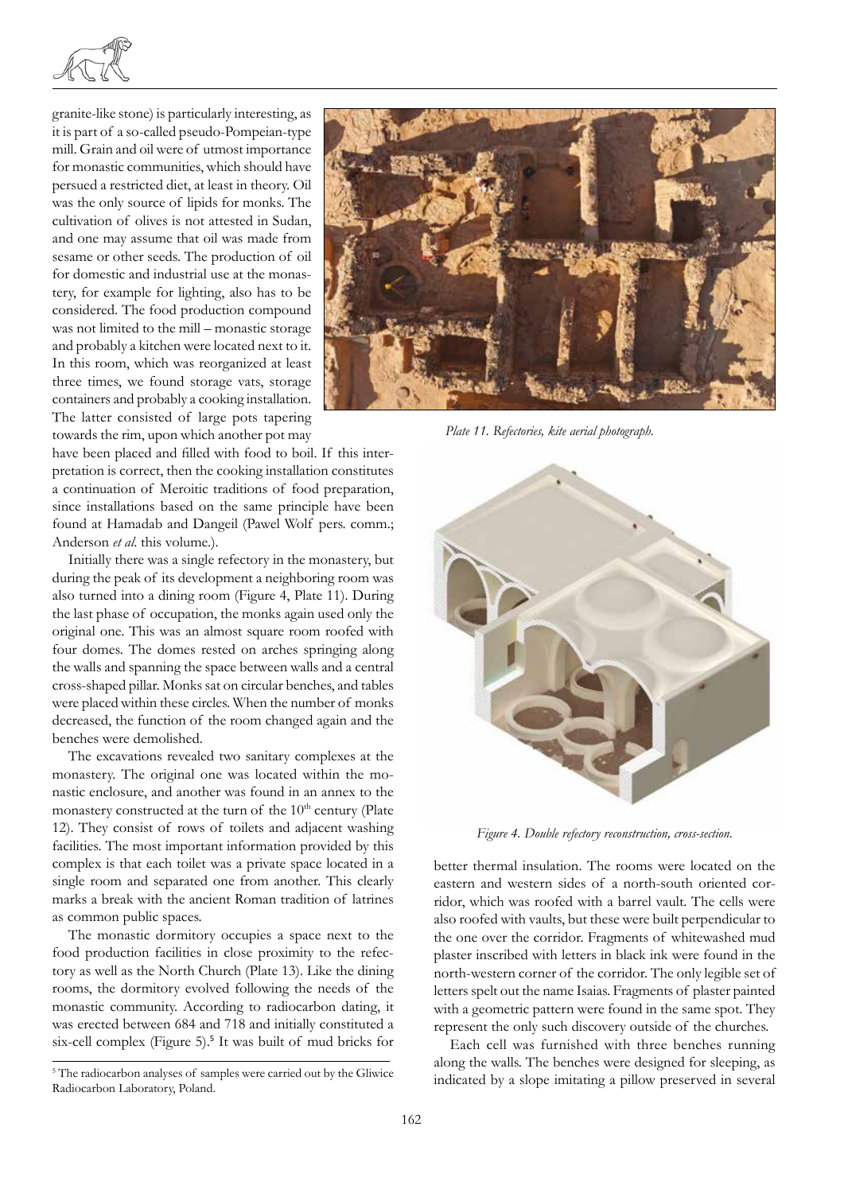

granite-like stone) is particularly interesting, as it is part of a so-called pseudo-Pompeian-type mill. Grain and oil were of utmost importance for monastic communities, which should have persued a restricted diet, at least in theory. Oil was the only source of lipids for monks. The cultivation of olives is not attested in Sudan, and one may assume that oil was made from sesame or other seeds. The production of oil for domestic and industrial use at the monastery, for example for lighting, also has to be considered. The food production compound was not limited to the mill – monastic storage and probably a kitchen were located next to it. In this room, which was reorganized at least three times, we found storage vats, storage containers and probably a cooking installation. The latter consisted of large pots tapering towards the rim, upon which another pot may

*Plate 11. Refectories, kite aerial photograph.*

have been placed and filled with food to boil. If this interpretation is correct, then the cooking installation constitutes a continuation of Meroitic traditions of food preparation, since installations based on the same principle have been found at Hamadab and Dangeil (Pawel Wolf pers. comm.; Anderson *et al*. this volume.).

Initially there was a single refectory in the monastery, but during the peak of its development a neighboring room was also turned into a dining room (Figure 4, Plate 11). During the last phase of occupation, the monks again used only the original one. This was an almost square room roofed with four domes. The domes rested on arches springing along the walls and spanning the space between walls and a central cross-shaped pillar. Monks sat on circular benches, and tables were placed within these circles. When the number of monks decreased, the function of the room changed again and the benches were demolished.

The excavations revealed two sanitary complexes at the monastery. The original one was located within the monastic enclosure, and another was found in an annex to the monastery constructed at the turn of the  $10<sup>th</sup>$  century (Plate 12). They consist of rows of toilets and adjacent washing facilities. The most important information provided by this complex is that each toilet was a private space located in a single room and separated one from another. This clearly marks a break with the ancient Roman tradition of latrines as common public spaces.

The monastic dormitory occupies a space next to the food production facilities in close proximity to the refectory as well as the North Church (Plate 13). Like the dining rooms, the dormitory evolved following the needs of the monastic community. According to radiocarbon dating, it was erected between 684 and 718 and initially constituted a six-cell complex (Figure 5).<sup>5</sup> It was built of mud bricks for



*Figure 4. Double refectory reconstruction, cross-section.*

better thermal insulation. The rooms were located on the eastern and western sides of a north-south oriented corridor, which was roofed with a barrel vault. The cells were also roofed with vaults, but these were built perpendicular to the one over the corridor. Fragments of whitewashed mud plaster inscribed with letters in black ink were found in the north-western corner of the corridor. The only legible set of letters spelt out the name Isaias. Fragments of plaster painted with a geometric pattern were found in the same spot. They represent the only such discovery outside of the churches.

Each cell was furnished with three benches running along the walls. The benches were designed for sleeping, as indicated by a slope imitating a pillow preserved in several

<sup>&</sup>lt;sup>5</sup> The radiocarbon analyses of samples were carried out by the Gliwice Radiocarbon Laboratory, Poland.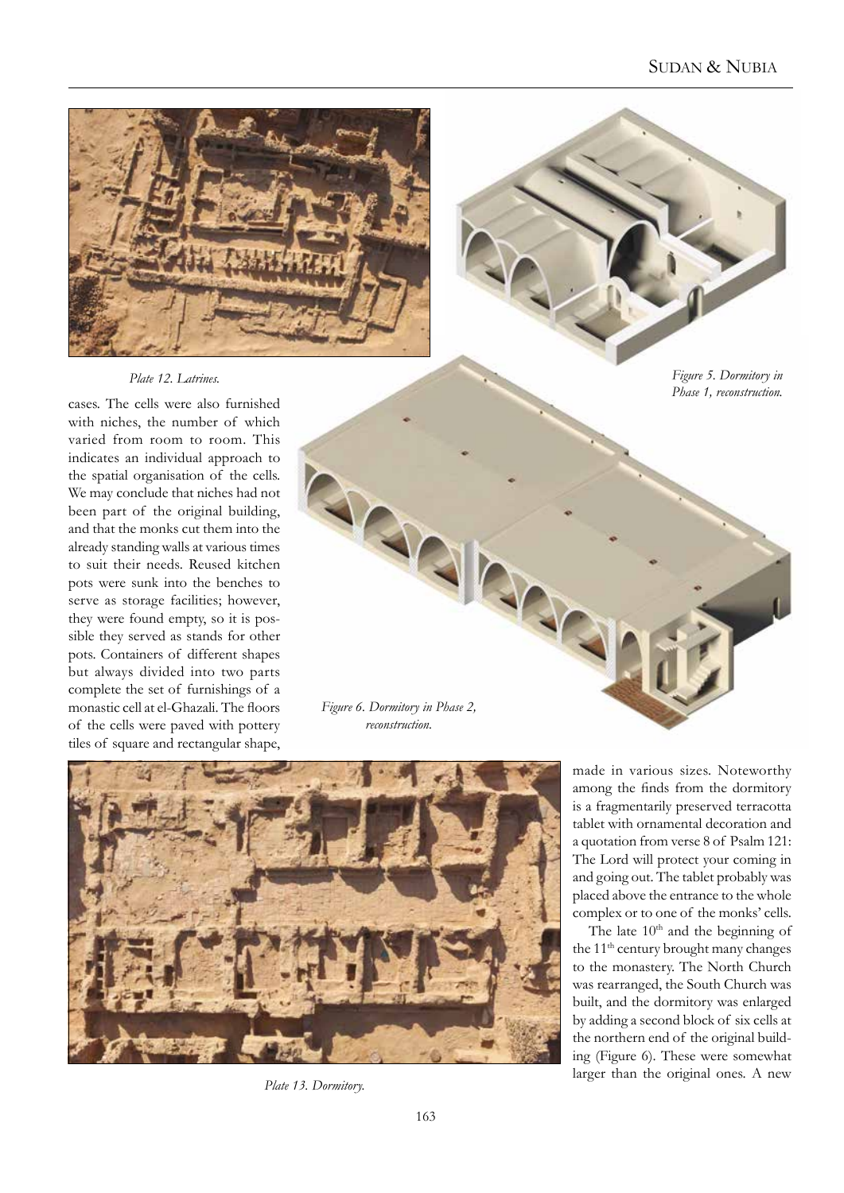

*Plate 12. Latrines.*

*Figure 5. Dormitory in* 

cases. The cells were also furnished with niches, the number of which varied from room to room. This indicates an individual approach to the spatial organisation of the cells. We may conclude that niches had not been part of the original building, and that the monks cut them into the already standing walls at various times to suit their needs. Reused kitchen pots were sunk into the benches to serve as storage facilities; however, they were found empty, so it is possible they served as stands for other pots. Containers of different shapes but always divided into two parts complete the set of furnishings of a monastic cell at el-Ghazali. The floors of the cells were paved with pottery tiles of square and rectangular shape,





*Plate 13. Dormitory.*

made in various sizes. Noteworthy among the finds from the dormitory is a fragmentarily preserved terracotta tablet with ornamental decoration and a quotation from verse 8 of Psalm 121: The Lord will protect your coming in and going out. The tablet probably was placed above the entrance to the whole complex or to one of the monks' cells.

The late 10<sup>th</sup> and the beginning of the 11<sup>th</sup> century brought many changes to the monastery. The North Church was rearranged, the South Church was built, and the dormitory was enlarged by adding a second block of six cells at the northern end of the original building (Figure 6). These were somewhat larger than the original ones. A new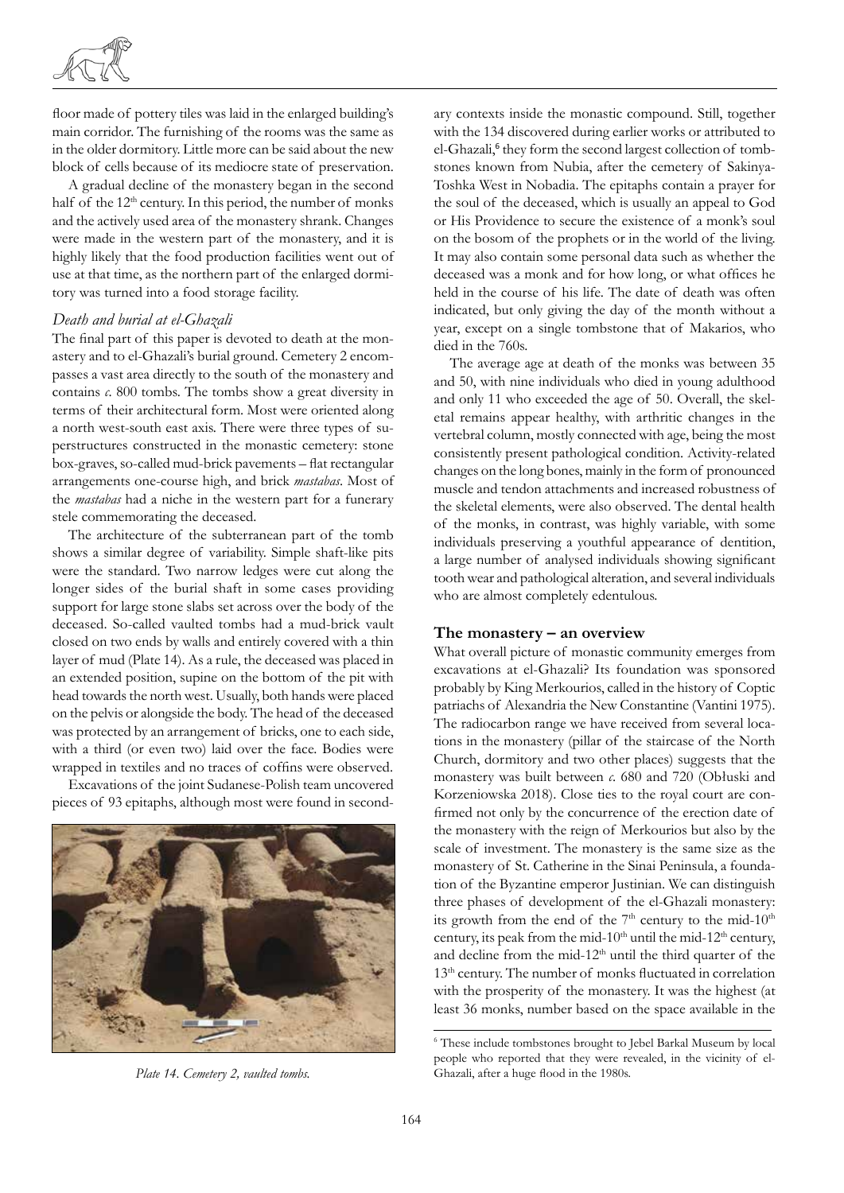

floor made of pottery tiles was laid in the enlarged building's main corridor. The furnishing of the rooms was the same as in the older dormitory. Little more can be said about the new block of cells because of its mediocre state of preservation.

A gradual decline of the monastery began in the second half of the 12<sup>th</sup> century. In this period, the number of monks and the actively used area of the monastery shrank. Changes were made in the western part of the monastery, and it is highly likely that the food production facilities went out of use at that time, as the northern part of the enlarged dormitory was turned into a food storage facility.

#### *Death and burial at el-Ghazali*

The final part of this paper is devoted to death at the monastery and to el-Ghazali's burial ground. Cemetery 2 encompasses a vast area directly to the south of the monastery and contains *c*. 800 tombs. The tombs show a great diversity in terms of their architectural form. Most were oriented along a north west-south east axis. There were three types of superstructures constructed in the monastic cemetery: stone box-graves, so-called mud-brick pavements – flat rectangular arrangements one-course high, and brick *mastabas*. Most of the *mastabas* had a niche in the western part for a funerary stele commemorating the deceased.

The architecture of the subterranean part of the tomb shows a similar degree of variability. Simple shaft-like pits were the standard. Two narrow ledges were cut along the longer sides of the burial shaft in some cases providing support for large stone slabs set across over the body of the deceased. So-called vaulted tombs had a mud-brick vault closed on two ends by walls and entirely covered with a thin layer of mud (Plate 14). As a rule, the deceased was placed in an extended position, supine on the bottom of the pit with head towards the north west. Usually, both hands were placed on the pelvis or alongside the body. The head of the deceased was protected by an arrangement of bricks, one to each side, with a third (or even two) laid over the face. Bodies were wrapped in textiles and no traces of coffins were observed.

Excavations of the joint Sudanese-Polish team uncovered pieces of 93 epitaphs, although most were found in second-



ary contexts inside the monastic compound. Still, together with the 134 discovered during earlier works or attributed to el-Ghazali,<sup>6</sup> they form the second largest collection of tombstones known from Nubia, after the cemetery of Sakinya-Toshka West in Nobadia. The epitaphs contain a prayer for the soul of the deceased, which is usually an appeal to God or His Providence to secure the existence of a monk's soul on the bosom of the prophets or in the world of the living. It may also contain some personal data such as whether the deceased was a monk and for how long, or what offices he held in the course of his life. The date of death was often indicated, but only giving the day of the month without a year, except on a single tombstone that of Makarios, who died in the 760s.

The average age at death of the monks was between 35 and 50, with nine individuals who died in young adulthood and only 11 who exceeded the age of 50. Overall, the skeletal remains appear healthy, with arthritic changes in the vertebral column, mostly connected with age, being the most consistently present pathological condition. Activity-related changes on the long bones, mainly in the form of pronounced muscle and tendon attachments and increased robustness of the skeletal elements, were also observed. The dental health of the monks, in contrast, was highly variable, with some individuals preserving a youthful appearance of dentition, a large number of analysed individuals showing significant tooth wear and pathological alteration, and several individuals who are almost completely edentulous.

#### **The monastery – an overview**

What overall picture of monastic community emerges from excavations at el-Ghazali? Its foundation was sponsored probably by King Merkourios, called in the history of Coptic patriachs of Alexandria the New Constantine (Vantini 1975). The radiocarbon range we have received from several locations in the monastery (pillar of the staircase of the North Church, dormitory and two other places) suggests that the monastery was built between *c*. 680 and 720 (Obłuski and Korzeniowska 2018). Close ties to the royal court are confirmed not only by the concurrence of the erection date of the monastery with the reign of Merkourios but also by the scale of investment. The monastery is the same size as the monastery of St. Catherine in the Sinai Peninsula, a foundation of the Byzantine emperor Justinian. We can distinguish three phases of development of the el-Ghazali monastery: its growth from the end of the  $7<sup>th</sup>$  century to the mid-10<sup>th</sup> century, its peak from the mid-10<sup>th</sup> until the mid-12<sup>th</sup> century, and decline from the mid-12<sup>th</sup> until the third quarter of the 13<sup>th</sup> century. The number of monks fluctuated in correlation with the prosperity of the monastery. It was the highest (at least 36 monks, number based on the space available in the

<sup>6</sup> These include tombstones brought to Jebel Barkal Museum by local people who reported that they were revealed, in the vicinity of el-*Plate 14. Cemetery 2, vaulted tombs.* Ghazali, after a huge flood in the 1980s.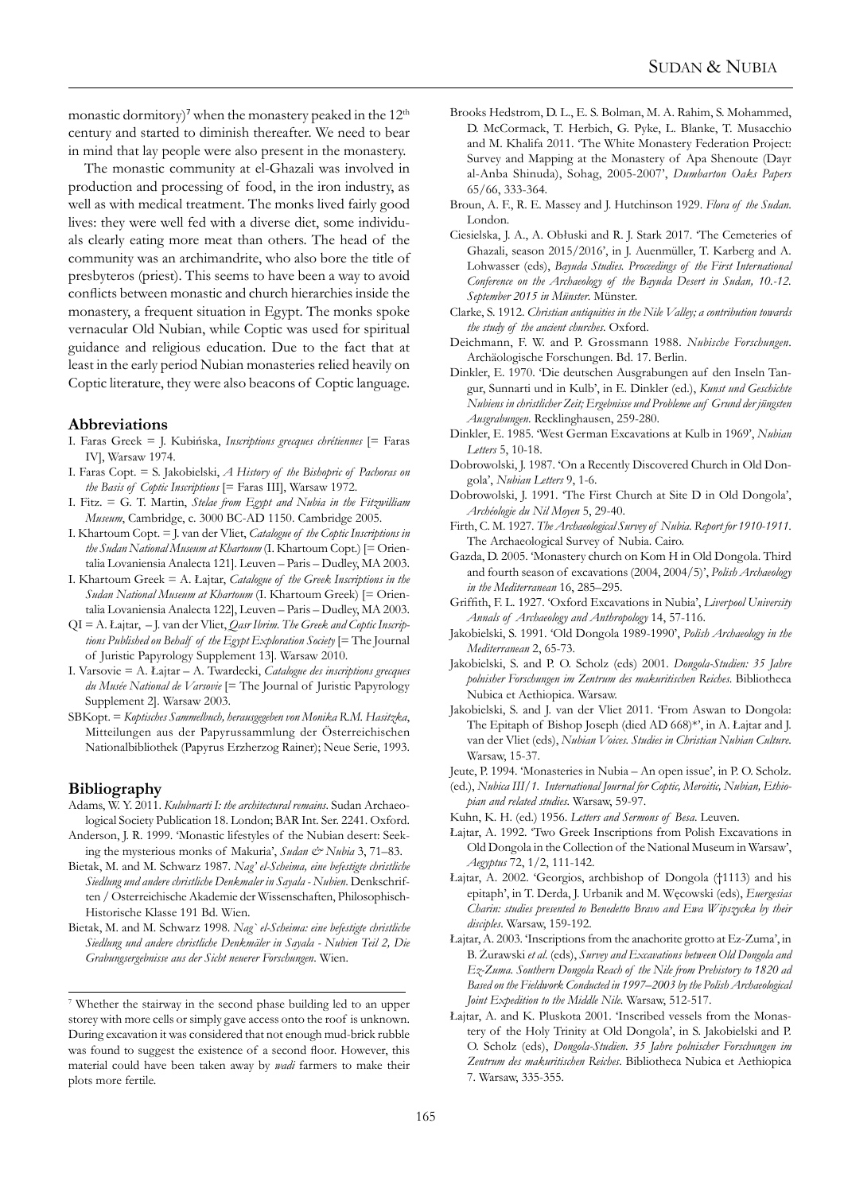monastic dormitory)<sup>7</sup> when the monastery peaked in the 12<sup>th</sup> century and started to diminish thereafter. We need to bear in mind that lay people were also present in the monastery.

The monastic community at el-Ghazali was involved in production and processing of food, in the iron industry, as well as with medical treatment. The monks lived fairly good lives: they were well fed with a diverse diet, some individuals clearly eating more meat than others. The head of the community was an archimandrite, who also bore the title of presbyteros (priest). This seems to have been a way to avoid conflicts between monastic and church hierarchies inside the monastery, a frequent situation in Egypt. The monks spoke vernacular Old Nubian, while Coptic was used for spiritual guidance and religious education. Due to the fact that at least in the early period Nubian monasteries relied heavily on Coptic literature, they were also beacons of Coptic language.

#### **Abbreviations**

- I. Faras Greek = J. Kubińska, *Inscriptions grecques chrétiennes* [= Faras IV], Warsaw 1974.
- I. Faras Copt. = S. Jakobielski, *A History of the Bishopric of Pachoras on the Basis of Coptic Inscriptions* [= Faras III], Warsaw 1972.
- I. Fitz. = G. T. Martin, *Stelae from Egypt and Nubia in the Fitzwilliam Museum*, Cambridge, c. 3000 BC-AD 1150. Cambridge 2005.
- I. Khartoum Copt. = J. van der Vliet, *Catalogue of the Coptic Inscriptions in the Sudan National Museum at Khartoum* (I. Khartoum Copt.) [= Orientalia Lovaniensia Analecta 121]. Leuven – Paris – Dudley, MA 2003.
- I. Khartoum Greek = A. Łajtar, *Catalogue of the Greek Inscriptions in the Sudan National Museum at Khartoum* (I. Khartoum Greek) [= Orientalia Lovaniensia Analecta 122], Leuven – Paris – Dudley, MA 2003.
- QI = A. Łajtar, J. van der Vliet, *Qasr Ibrim. The Greek and Coptic Inscriptions Published on Behalf of the Egypt Exploration Society* [= The Journal of Juristic Papyrology Supplement 13]. Warsaw 2010.
- I. Varsovie = A. Łajtar A. Twardecki, *Catalogue des inscriptions grecques du Musée National de Varsovie* [= The Journal of Juristic Papyrology Supplement 2]. Warsaw 2003.
- SBKopt. = *Koptisches Sammelbuch, herausgegeben von Monika R.M. Hasitzka*, Mitteilungen aus der Papyrussammlung der Österreichischen Nationalbibliothek (Papyrus Erzherzog Rainer); Neue Serie, 1993.

# **Bibliography**

- Adams, W. Y. 2011. *Kulubnarti I: the architectural remains*. Sudan Archaeological Society Publication 18. London; BAR Int. Ser. 2241. Oxford.
- Anderson, J. R. 1999. 'Monastic lifestyles of the Nubian desert: Seeking the mysterious monks of Makuria', *Sudan & Nubia* 3, 71–83.
- Bietak, M. and M. Schwarz 1987. *Nag' el-Scheima, eine befestigte christliche Siedlung und andere christliche Denkmaler in Sayala - Nubien*. Denkschriften / Osterreichische Akademie der Wissenschaften, Philosophisch-Historische Klasse 191 Bd. Wien.
- Bietak, M. and M. Schwarz 1998. *Nag` el-Scheima: eine befestigte christliche Siedlung und andere christliche Denkmäler in Sayala - Nubien Teil 2, Die Grabungsergebnisse aus der Sicht neuerer Forschungen*. Wien.
- Brooks Hedstrom, D. L., E. S. Bolman, M. A. Rahim, S. Mohammed, D. McCormack, T. Herbich, G. Pyke, L. Blanke, T. Musacchio and M. Khalifa 2011. 'The White Monastery Federation Project: Survey and Mapping at the Monastery of Apa Shenoute (Dayr al-Anba Shinuda), Sohag, 2005-2007', *Dumbarton Oaks Papers*  65/66, 333-364.
- Broun, A. F., R. E. Massey and J. Hutchinson 1929. *Flora of the Sudan*. London.
- Ciesielska, J. A., A. Obłuski and R. J. Stark 2017. 'The Cemeteries of Ghazali, season 2015/2016', in J. Auenmüller, T. Karberg and A. Lohwasser (eds), *Bayuda Studies. Proceedings of the First International Conference on the Archaeology of the Bayuda Desert in Sudan, 10.-12. September 2015 in Münster*. Münster.
- Clarke, S. 1912. *Christian antiquities in the Nile Valley; a contribution towards the study of the ancient churches*. Oxford.
- Deichmann, F. W. and P. Grossmann 1988. *Nubische Forschungen*. Archäologische Forschungen. Bd. 17. Berlin.
- Dinkler, E. 1970. 'Die deutschen Ausgrabungen auf den Inseln Tangur, Sunnarti und in Kulb', in E. Dinkler (ed.), *Kunst und Geschichte Nubiens in christlicher Zeit; Ergebnisse und Probleme auf Grund der jüngsten Ausgrabungen*. Recklinghausen, 259-280.
- Dinkler, E. 1985. 'West German Excavations at Kulb in 1969', *Nubian Letters* 5, 10-18.
- Dobrowolski, J. 1987. 'On a Recently Discovered Church in Old Dongola', *Nubian Letters* 9, 1-6.
- Dobrowolski, J. 1991. 'The First Church at Site D in Old Dongola', *Archéologie du Nil Moyen* 5, 29-40.
- Firth, C. M. 1927. *The Archaeological Survey of Nubia. Report for 1910-1911*. The Archaeological Survey of Nubia. Cairo.
- Gazda, D. 2005. 'Monastery church on Kom H in Old Dongola. Third and fourth season of excavations (2004, 2004/5)', *Polish Archaeology in the Mediterranean* 16, 285–295.
- Griffith, F. L. 1927. 'Oxford Excavations in Nubia', *Liverpool University Annals of Archaeology and Anthropology* 14, 57-116.
- Jakobielski, S. 1991. 'Old Dongola 1989-1990', *Polish Archaeology in the Mediterranean* 2, 65-73.
- Jakobielski, S. and P. O. Scholz (eds) 2001. *Dongola-Studien: 35 Jahre polnisher Forschungen im Zentrum des makuritischen Reiches*. Bibliotheca Nubica et Aethiopica. Warsaw.
- Jakobielski, S. and J. van der Vliet 2011. 'From Aswan to Dongola: The Epitaph of Bishop Joseph (died AD 668)\*', in A. Łajtar and J. van der Vliet (eds), *Nubian Voices. Studies in Christian Nubian Culture*. Warsaw, 15-37.
- Jeute, P. 1994. 'Monasteries in Nubia An open issue', in P. O. Scholz.
- (ed.), *Nubica III/1. International Journal for Coptic, Meroitic, Nubian, Ethiopian and related studies*. Warsaw, 59-97.
- Kuhn, K. H. (ed.) 1956. *Letters and Sermons of Besa*. Leuven.
- Łajtar, A. 1992. 'Two Greek Inscriptions from Polish Excavations in Old Dongola in the Collection of the National Museum in Warsaw', *Aegyptus* 72, 1/2, 111-142.
- Łajtar, A. 2002. 'Georgios, archbishop of Dongola (†1113) and his epitaph', in T. Derda, J. Urbanik and M. Węcowski (eds), *Euergesias Charin: studies presented to Benedetto Bravo and Ewa Wipszycka by their disciples*. Warsaw, 159-192.
- Łajtar, A. 2003. 'Inscriptions from the anachorite grotto at Ez-Zuma', in B. Żurawski *et al*. (eds), *Survey and Excavations between Old Dongola and Ez-Zuma. Southern Dongola Reach of the Nile from Prehistory to 1820 ad Based on the Fieldwork Conducted in 1997–2003 by the Polish Archaeological Joint Expedition to the Middle Nile*. Warsaw, 512-517.
- Łajtar, A. and K. Pluskota 2001. 'Inscribed vessels from the Monastery of the Holy Trinity at Old Dongola', in S. Jakobielski and P. O. Scholz (eds), *Dongola-Studien. 35 Jahre polnischer Forschungen im Zentrum des makuritischen Reiches*. Bibliotheca Nubica et Aethiopica 7. Warsaw, 335-355.

<sup>7</sup> Whether the stairway in the second phase building led to an upper storey with more cells or simply gave access onto the roof is unknown. During excavation it was considered that not enough mud-brick rubble was found to suggest the existence of a second floor. However, this material could have been taken away by *wadi* farmers to make their plots more fertile.